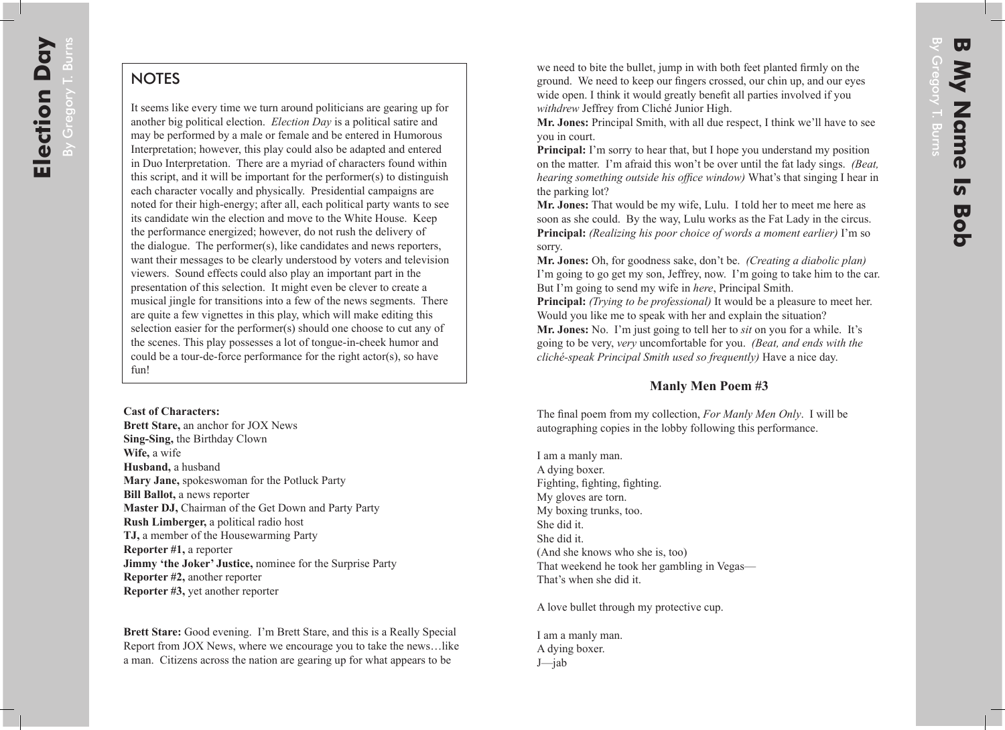## **NOTES**

It seems like every time we turn around politicians are gearing up for another big political election. *Election Day* is a political satire and may be performed by a male or female and be entered in Humorous Interpretation; however, this play could also be adapted and entered in Duo Interpretation. There are a myriad of characters found within this script, and it will be important for the performer(s) to distinguish each character vocally and physically. Presidential campaigns are noted for their high-energy; after all, each political party wants to see its candidate win the election and move to the White House. Keep the performance energized; however, do not rush the delivery of the dialogue. The performer(s), like candidates and news reporters, want their messages to be clearly understood by voters and television viewers. Sound effects could also play an important part in the presentation of this selection. It might even be clever to create a musical jingle for transitions into a few of the news segments. There are quite a few vignettes in this play, which will make editing this selection easier for the performer(s) should one choose to cut any of the scenes. This play possesses a lot of tongue-in-cheek humor and could be a tour-de-force performance for the right actor(s), so have fun!

## **Cast of Characters:**

**Brett Stare,** an anchor for JOX News **Sing-Sing,** the Birthday Clown **Wife,** a wife **Husband,** a husband **Mary Jane,** spokeswoman for the Potluck Party **Bill Ballot,** a news reporter **Master DJ,** Chairman of the Get Down and Party Party **Rush Limberger,** a political radio host **TJ,** a member of the Housewarming Party **Reporter #1,** a reporter **Jimmy 'the Joker' Justice,** nominee for the Surprise Party **Reporter #2,** another reporter **Reporter #3,** yet another reporter

**Brett Stare:** Good evening. I'm Brett Stare, and this is a Really Special Report from JOX News, where we encourage you to take the news…like a man. Citizens across the nation are gearing up for what appears to be